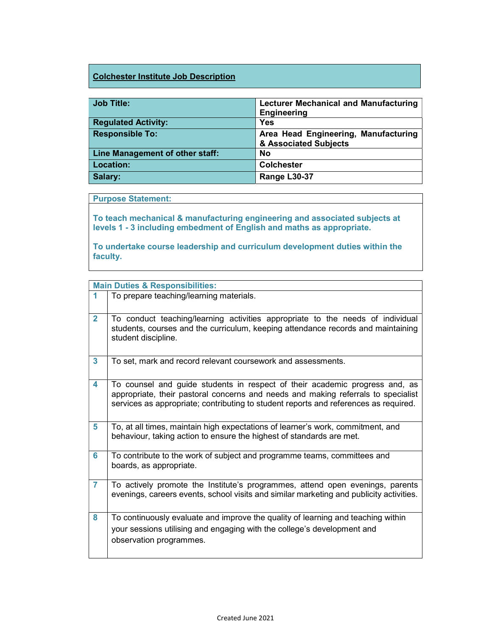## Colchester Institute Job Description

| <b>Job Title:</b>               | <b>Lecturer Mechanical and Manufacturing</b><br><b>Engineering</b> |
|---------------------------------|--------------------------------------------------------------------|
| <b>Regulated Activity:</b>      | <b>Yes</b>                                                         |
| <b>Responsible To:</b>          | Area Head Engineering, Manufacturing<br>& Associated Subjects      |
| Line Management of other staff: | <b>No</b>                                                          |
| <b>Location:</b>                | <b>Colchester</b>                                                  |
| Salary:                         | Range L30-37                                                       |

## Purpose Statement:

To teach mechanical & manufacturing engineering and associated subjects at levels 1 - 3 including embedment of English and maths as appropriate.

To undertake course leadership and curriculum development duties within the faculty.

|                | <b>Main Duties &amp; Responsibilities:</b>                                                                                                                                                                                                               |
|----------------|----------------------------------------------------------------------------------------------------------------------------------------------------------------------------------------------------------------------------------------------------------|
|                | To prepare teaching/learning materials.                                                                                                                                                                                                                  |
| $\overline{2}$ | To conduct teaching/learning activities appropriate to the needs of individual<br>students, courses and the curriculum, keeping attendance records and maintaining<br>student discipline.                                                                |
| 3              | To set, mark and record relevant coursework and assessments.                                                                                                                                                                                             |
| 4              | To counsel and guide students in respect of their academic progress and, as<br>appropriate, their pastoral concerns and needs and making referrals to specialist<br>services as appropriate; contributing to student reports and references as required. |
| 5              | To, at all times, maintain high expectations of learner's work, commitment, and<br>behaviour, taking action to ensure the highest of standards are met.                                                                                                  |
| 6              | To contribute to the work of subject and programme teams, committees and<br>boards, as appropriate.                                                                                                                                                      |
| $\overline{7}$ | To actively promote the Institute's programmes, attend open evenings, parents<br>evenings, careers events, school visits and similar marketing and publicity activities.                                                                                 |
| 8              | To continuously evaluate and improve the quality of learning and teaching within<br>your sessions utilising and engaging with the college's development and<br>observation programmes.                                                                   |